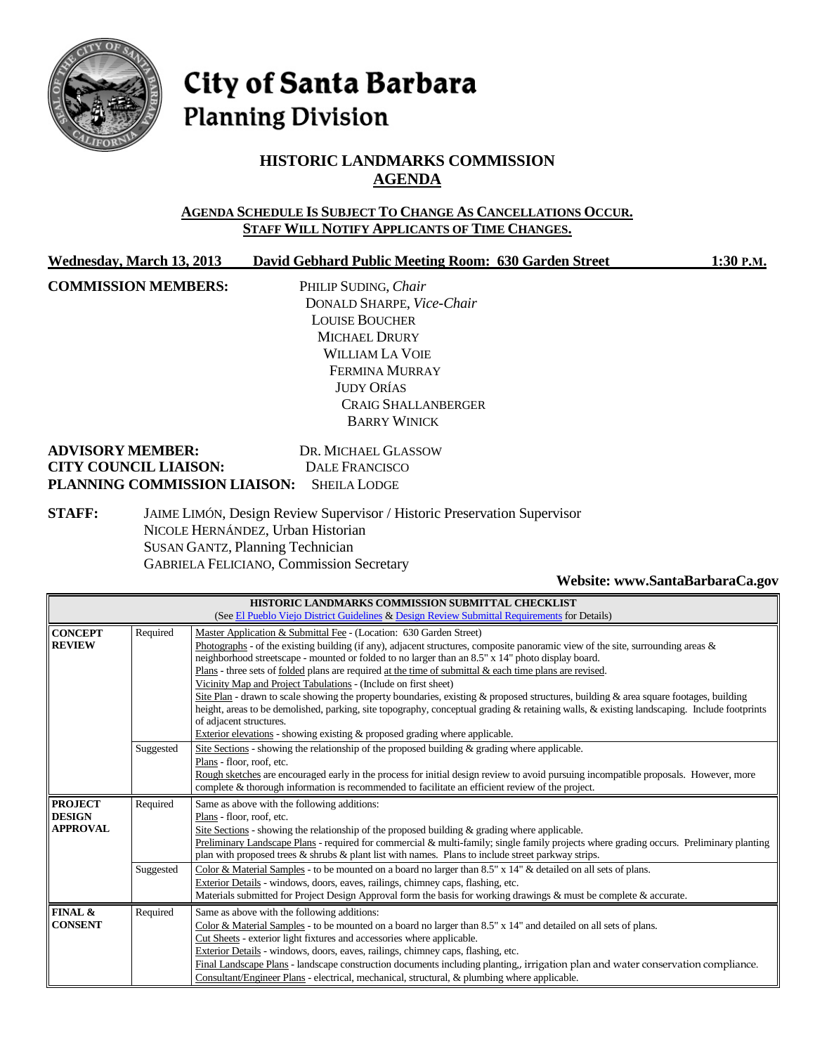

# City of Santa Barbara **Planning Division**

# **HISTORIC LANDMARKS COMMISSION AGENDA**

#### **AGENDA SCHEDULE IS SUBJECT TO CHANGE AS CANCELLATIONS OCCUR. STAFF WILL NOTIFY APPLICANTS OF TIME CHANGES.**

| Wednesday, March 13, 2013 | David Gebhard Public Meeting Room: 630 Garden Street | 1:30 P.M. |
|---------------------------|------------------------------------------------------|-----------|
|                           |                                                      |           |

**COMMISSION MEMBERS:** PHILIP SUDING, *Chair*

DONALD SHARPE, *Vice-Chair* LOUISE BOUCHER MICHAEL DRURY WILLIAM LA VOIE FERMINA MURRAY JUDY ORÍAS CRAIG SHALLANBERGER BARRY WINICK

| <b>ADVISORY MEMBER:</b>                   | DR. MICHAEL GLASSOW |
|-------------------------------------------|---------------------|
| <b>CITY COUNCIL LIAISON:</b>              | DALE FRANCISCO      |
| PLANNING COMMISSION LIAISON: SHEILA LODGE |                     |

**STAFF:** JAIME LIMÓN, Design Review Supervisor / Historic Preservation Supervisor NICOLE HERNÁNDEZ, Urban Historian SUSAN GANTZ, Planning Technician GABRIELA FELICIANO, Commission Secretary

#### **Website[: www.SantaBarbaraCa.gov](http://www.santabarbaraca.gov/)**

| HISTORIC LANDMARKS COMMISSION SUBMITTAL CHECKLIST                                            |           |                                                                                                                                                                                                                                               |  |
|----------------------------------------------------------------------------------------------|-----------|-----------------------------------------------------------------------------------------------------------------------------------------------------------------------------------------------------------------------------------------------|--|
| (See El Pueblo Viejo District Guidelines & Design Review Submittal Requirements for Details) |           |                                                                                                                                                                                                                                               |  |
| <b>CONCEPT</b>                                                                               | Required  | Master Application & Submittal Fee - (Location: 630 Garden Street)                                                                                                                                                                            |  |
| <b>REVIEW</b>                                                                                |           | Photographs - of the existing building (if any), adjacent structures, composite panoramic view of the site, surrounding areas $\&$                                                                                                            |  |
|                                                                                              |           | neighborhood streetscape - mounted or folded to no larger than an 8.5" x 14" photo display board.                                                                                                                                             |  |
|                                                                                              |           | Plans - three sets of folded plans are required at the time of submittal $\&$ each time plans are revised.                                                                                                                                    |  |
|                                                                                              |           | Vicinity Map and Project Tabulations - (Include on first sheet)                                                                                                                                                                               |  |
|                                                                                              |           | Site Plan - drawn to scale showing the property boundaries, existing $\&$ proposed structures, building $\&$ area square footages, building                                                                                                   |  |
|                                                                                              |           | height, areas to be demolished, parking, site topography, conceptual grading & retaining walls, & existing landscaping. Include footprints                                                                                                    |  |
|                                                                                              |           | of adjacent structures.                                                                                                                                                                                                                       |  |
|                                                                                              |           | Exterior elevations - showing existing $\&$ proposed grading where applicable.                                                                                                                                                                |  |
|                                                                                              | Suggested | Site Sections - showing the relationship of the proposed building & grading where applicable.                                                                                                                                                 |  |
|                                                                                              |           | Plans - floor, roof, etc.                                                                                                                                                                                                                     |  |
|                                                                                              |           | Rough sketches are encouraged early in the process for initial design review to avoid pursuing incompatible proposals. However, more<br>complete & thorough information is recommended to facilitate an efficient review of the project.      |  |
|                                                                                              |           |                                                                                                                                                                                                                                               |  |
| <b>PROJECT</b><br><b>DESIGN</b>                                                              | Required  | Same as above with the following additions:                                                                                                                                                                                                   |  |
| <b>APPROVAL</b>                                                                              |           | Plans - floor, roof, etc.                                                                                                                                                                                                                     |  |
|                                                                                              |           | Site Sections - showing the relationship of the proposed building $\&$ grading where applicable.                                                                                                                                              |  |
|                                                                                              |           | Preliminary Landscape Plans - required for commercial & multi-family; single family projects where grading occurs. Preliminary planting<br>plan with proposed trees & shrubs & plant list with names. Plans to include street parkway strips. |  |
|                                                                                              |           | Color & Material Samples - to be mounted on a board no larger than 8.5" x 14" & detailed on all sets of plans.                                                                                                                                |  |
|                                                                                              | Suggested | Exterior Details - windows, doors, eaves, railings, chimney caps, flashing, etc.                                                                                                                                                              |  |
|                                                                                              |           | Materials submitted for Project Design Approval form the basis for working drawings & must be complete & accurate.                                                                                                                            |  |
|                                                                                              |           |                                                                                                                                                                                                                                               |  |
| FINAL &<br><b>CONSENT</b>                                                                    | Required  | Same as above with the following additions:                                                                                                                                                                                                   |  |
|                                                                                              |           | Color & Material Samples - to be mounted on a board no larger than 8.5" x 14" and detailed on all sets of plans.<br>Cut Sheets - exterior light fixtures and accessories where applicable.                                                    |  |
|                                                                                              |           |                                                                                                                                                                                                                                               |  |
|                                                                                              |           | Exterior Details - windows, doors, eaves, railings, chimney caps, flashing, etc.                                                                                                                                                              |  |
|                                                                                              |           | Final Landscape Plans - landscape construction documents including planting, irrigation plan and water conservation compliance.                                                                                                               |  |
|                                                                                              |           | Consultant/Engineer Plans - electrical, mechanical, structural, & plumbing where applicable.                                                                                                                                                  |  |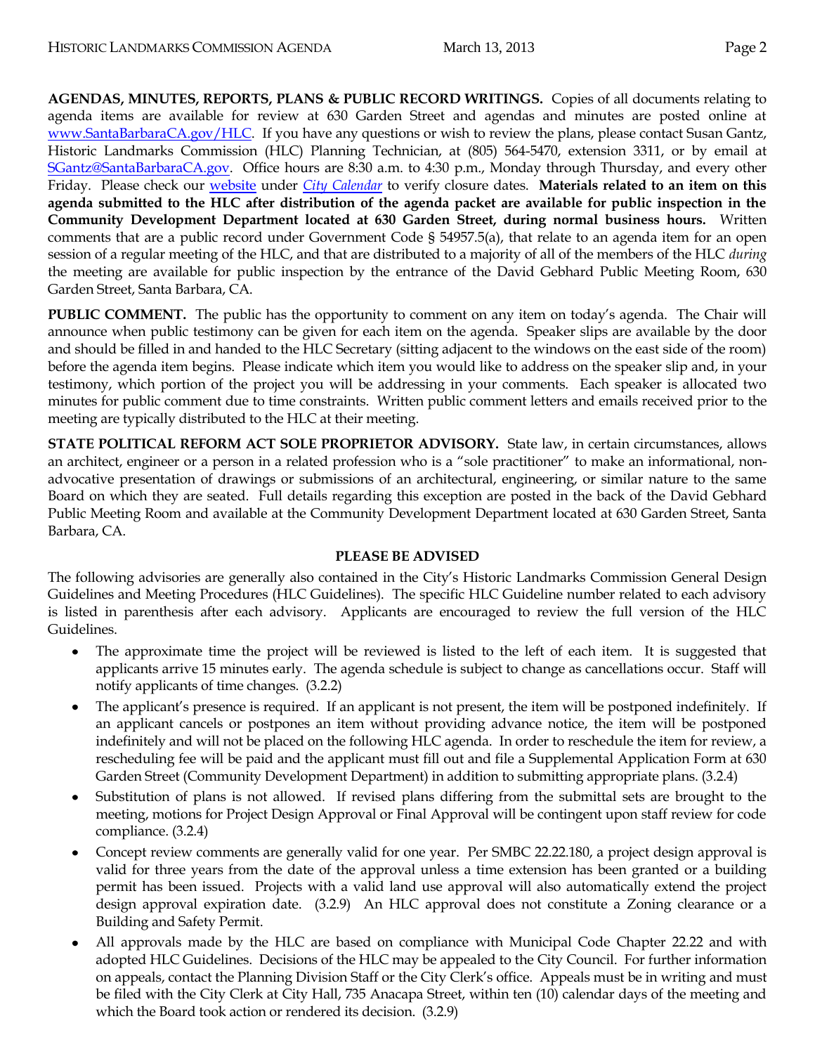**AGENDAS, MINUTES, REPORTS, PLANS & PUBLIC RECORD WRITINGS.** Copies of all documents relating to agenda items are available for review at 630 Garden Street and agendas and minutes are posted online at [www.SantaBarbaraCA.gov/HLC.](http://www.santabarbaraca.gov/HLC) If you have any questions or wish to review the plans, please contact Susan Gantz, Historic Landmarks Commission (HLC) Planning Technician, at (805) 564-5470, extension 3311, or by email at [SGantz@SantaBarbaraCA.gov.](mailto:SGantz@SantaBarbaraCA.gov) Office hours are 8:30 a.m. to 4:30 p.m., Monday through Thursday, and every other Friday. Please check our [website](http://www.santabarbaraca.gov/) under *[City Calendar](http://www.santabarbaraca.gov/calendar)* to verify closure dates. **Materials related to an item on this agenda submitted to the HLC after distribution of the agenda packet are available for public inspection in the Community Development Department located at 630 Garden Street, during normal business hours.** Written comments that are a public record under Government Code § 54957.5(a), that relate to an agenda item for an open session of a regular meeting of the HLC, and that are distributed to a majority of all of the members of the HLC *during* the meeting are available for public inspection by the entrance of the David Gebhard Public Meeting Room, 630 Garden Street, Santa Barbara, CA.

**PUBLIC COMMENT.** The public has the opportunity to comment on any item on today's agenda. The Chair will announce when public testimony can be given for each item on the agenda. Speaker slips are available by the door and should be filled in and handed to the HLC Secretary (sitting adjacent to the windows on the east side of the room) before the agenda item begins. Please indicate which item you would like to address on the speaker slip and, in your testimony, which portion of the project you will be addressing in your comments. Each speaker is allocated two minutes for public comment due to time constraints. Written public comment letters and emails received prior to the meeting are typically distributed to the HLC at their meeting.

**STATE POLITICAL REFORM ACT SOLE PROPRIETOR ADVISORY.** State law, in certain circumstances, allows an architect, engineer or a person in a related profession who is a "sole practitioner" to make an informational, nonadvocative presentation of drawings or submissions of an architectural, engineering, or similar nature to the same Board on which they are seated. Full details regarding this exception are posted in the back of the David Gebhard Public Meeting Room and available at the Community Development Department located at 630 Garden Street, Santa Barbara, CA.

#### **PLEASE BE ADVISED**

The following advisories are generally also contained in the City's Historic Landmarks Commission General Design Guidelines and Meeting Procedures (HLC Guidelines). The specific HLC Guideline number related to each advisory is listed in parenthesis after each advisory. Applicants are encouraged to review the full version of the HLC Guidelines.

- The approximate time the project will be reviewed is listed to the left of each item. It is suggested that applicants arrive 15 minutes early. The agenda schedule is subject to change as cancellations occur. Staff will notify applicants of time changes. (3.2.2)
- The applicant's presence is required. If an applicant is not present, the item will be postponed indefinitely. If  $\bullet$ an applicant cancels or postpones an item without providing advance notice, the item will be postponed indefinitely and will not be placed on the following HLC agenda. In order to reschedule the item for review, a rescheduling fee will be paid and the applicant must fill out and file a Supplemental Application Form at 630 Garden Street (Community Development Department) in addition to submitting appropriate plans. (3.2.4)
- Substitution of plans is not allowed. If revised plans differing from the submittal sets are brought to the meeting, motions for Project Design Approval or Final Approval will be contingent upon staff review for code compliance. (3.2.4)
- Concept review comments are generally valid for one year. Per SMBC 22.22.180, a project design approval is valid for three years from the date of the approval unless a time extension has been granted or a building permit has been issued. Projects with a valid land use approval will also automatically extend the project design approval expiration date. (3.2.9) An HLC approval does not constitute a Zoning clearance or a Building and Safety Permit.
- All approvals made by the HLC are based on compliance with Municipal Code Chapter 22.22 and with adopted HLC Guidelines. Decisions of the HLC may be appealed to the City Council. For further information on appeals, contact the Planning Division Staff or the City Clerk's office. Appeals must be in writing and must be filed with the City Clerk at City Hall, 735 Anacapa Street, within ten (10) calendar days of the meeting and which the Board took action or rendered its decision. (3.2.9)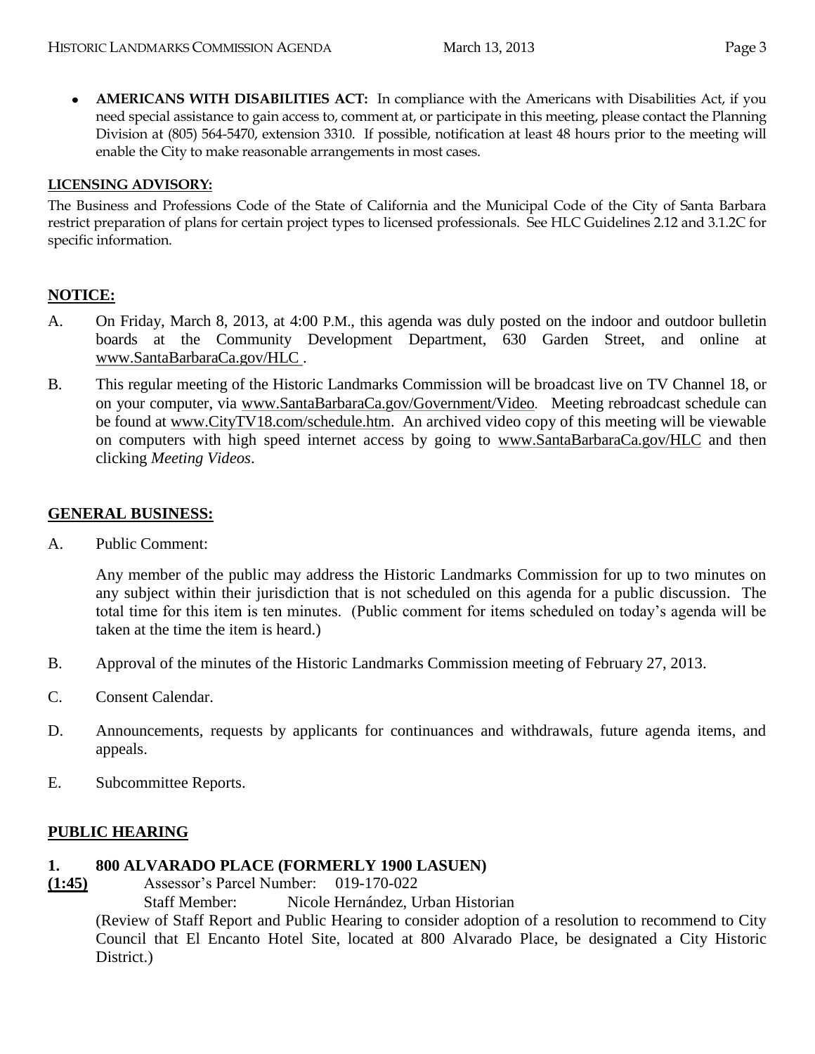**AMERICANS WITH DISABILITIES ACT:** In compliance with the Americans with Disabilities Act, if you  $\bullet$ need special assistance to gain access to, comment at, or participate in this meeting, please contact the Planning Division at (805) 564-5470, extension 3310. If possible, notification at least 48 hours prior to the meeting will enable the City to make reasonable arrangements in most cases.

#### **LICENSING ADVISORY:**

The Business and Professions Code of the State of California and the Municipal Code of the City of Santa Barbara restrict preparation of plans for certain project types to licensed professionals. See HLC Guidelines 2.12 and 3.1.2C for specific information.

# **NOTICE:**

- A. On Friday, March 8, 2013, at 4:00 P.M., this agenda was duly posted on the indoor and outdoor bulletin boards at the Community Development Department, 630 Garden Street, and online at [www.SantaBarbaraCa.gov/HLC](http://www.santabarbaraca.gov/hlc) .
- B. This regular meeting of the Historic Landmarks Commission will be broadcast live on TV Channel 18, or on your computer, via [www.SantaBarbaraCa.gov/Government/Video](http://www.santabarbaraca.gov/Government/Video). Meeting rebroadcast schedule can be found at [www.CityTV18.com/schedule.htm.](http://www.citytv18.com/schedule.htm) An archived video copy of this meeting will be viewable on computers with high speed internet access by going to [www.SantaBarbaraCa.gov/HLC](http://www.santabarbaraca.gov/HLC) and then clicking *Meeting Videos*.

## **GENERAL BUSINESS:**

A. Public Comment:

Any member of the public may address the Historic Landmarks Commission for up to two minutes on any subject within their jurisdiction that is not scheduled on this agenda for a public discussion. The total time for this item is ten minutes. (Public comment for items scheduled on today's agenda will be taken at the time the item is heard.)

- B. Approval of the minutes of the Historic Landmarks Commission meeting of February 27, 2013.
- C. Consent Calendar.
- D. Announcements, requests by applicants for continuances and withdrawals, future agenda items, and appeals.
- E. Subcommittee Reports.

## **PUBLIC HEARING**

#### **1. 800 ALVARADO PLACE (FORMERLY 1900 LASUEN)**

**(1:45)** Assessor's Parcel Number: 019-170-022

Staff Member: Nicole Hernández, Urban Historian

(Review of Staff Report and Public Hearing to consider adoption of a resolution to recommend to City Council that El Encanto Hotel Site, located at 800 Alvarado Place, be designated a City Historic District.)